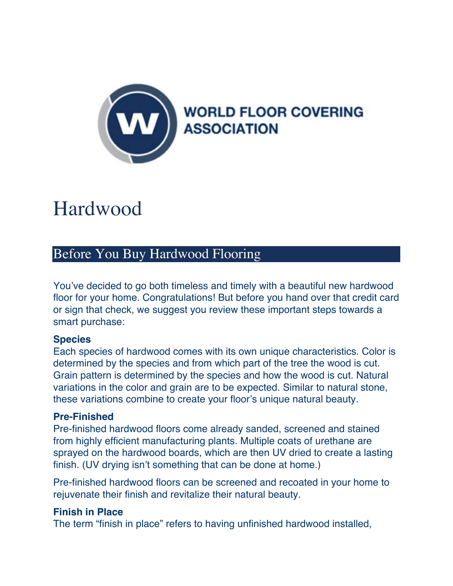

# **Hardwood**

# Before You Buy Hardwood Flooring

You've decided to go both timeless and timely with a beautiful new hardwood floor for your home. Congratulations! But before you hand over that credit card or sign that check, we suggest you review these important steps towards a smart purchase:

# **Species**

Each species of hardwood comes with its own unique characteristics. Color is determined by the species and from which part of the tree the wood is cut. Grain pattern is determined by the species and how the wood is cut. Natural variations in the color and grain are to be expected. Similar to natural stone, these variations combine to create your floor's unique natural beauty.

#### **Pre-Finished**

Pre-finished hardwood floors come already sanded, screened and stained from highly efficient manufacturing plants. Multiple coats of urethane are sprayed on the hardwood boards, which are then UV dried to create a lasting finish. (UV drying isn't something that can be done at home.)

Pre-finished hardwood floors can be screened and recoated in your home to rejuvenate their finish and revitalize their natural beauty.

# **Finish in Place**

The term "finish in place" refers to having unfinished hardwood installed,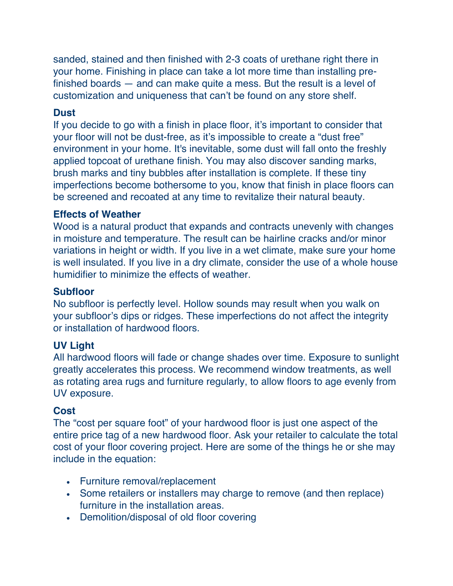sanded, stained and then finished with 2-3 coats of urethane right there in your home. Finishing in place can take a lot more time than installing prefinished boards — and can make quite a mess. But the result is a level of customization and uniqueness that can't be found on any store shelf.

#### **Dust**

If you decide to go with a finish in place floor, it's important to consider that your floor will not be dust-free, as it's impossible to create a "dust free" environment in your home. It's inevitable, some dust will fall onto the freshly applied topcoat of urethane finish. You may also discover sanding marks, brush marks and tiny bubbles after installation is complete. If these tiny imperfections become bothersome to you, know that finish in place floors can be screened and recoated at any time to revitalize their natural beauty.

#### **Effects of Weather**

Wood is a natural product that expands and contracts unevenly with changes in moisture and temperature. The result can be hairline cracks and/or minor variations in height or width. If you live in a wet climate, make sure your home is well insulated. If you live in a dry climate, consider the use of a whole house humidifier to minimize the effects of weather.

#### **Subfloor**

No subfloor is perfectly level. Hollow sounds may result when you walk on your subfloor's dips or ridges. These imperfections do not affect the integrity or installation of hardwood floors.

# **UV Light**

All hardwood floors will fade or change shades over time. Exposure to sunlight greatly accelerates this process. We recommend window treatments, as well as rotating area rugs and furniture regularly, to allow floors to age evenly from UV exposure.

#### **Cost**

The "cost per square foot" of your hardwood floor is just one aspect of the entire price tag of a new hardwood floor. Ask your retailer to calculate the total cost of your floor covering project. Here are some of the things he or she may include in the equation:

- Furniture removal/replacement
- Some retailers or installers may charge to remove (and then replace) furniture in the installation areas.
- Demolition/disposal of old floor covering